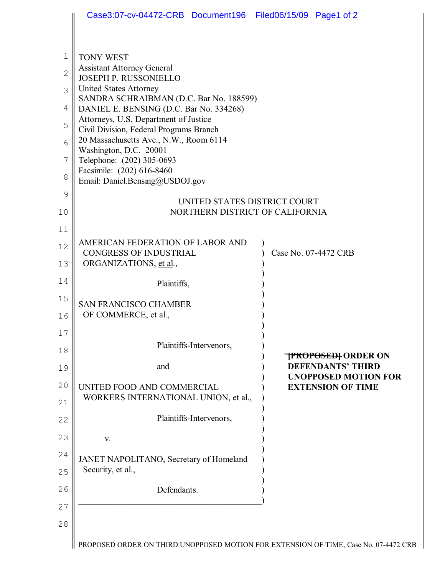| 1<br>$\mathbf{2}$ | <b>TONY WEST</b><br><b>Assistant Attorney General</b>                              |                                                         |
|-------------------|------------------------------------------------------------------------------------|---------------------------------------------------------|
| 3                 | <b>JOSEPH P. RUSSONIELLO</b><br><b>United States Attorney</b>                      |                                                         |
| 4                 | SANDRA SCHRAIBMAN (D.C. Bar No. 188599)<br>DANIEL E. BENSING (D.C. Bar No. 334268) |                                                         |
| 5                 | Attorneys, U.S. Department of Justice                                              |                                                         |
| 6                 | Civil Division, Federal Programs Branch<br>20 Massachusetts Ave., N.W., Room 6114  |                                                         |
| 7                 | Washington, D.C. 20001<br>Telephone: (202) 305-0693                                |                                                         |
| 8                 | Facsimile: (202) 616-8460<br>Email: Daniel.Bensing@USDOJ.gov                       |                                                         |
| $\mathcal{G}$     | UNITED STATES DISTRICT COURT                                                       |                                                         |
| 10                | NORTHERN DISTRICT OF CALIFORNIA                                                    |                                                         |
| 11                |                                                                                    |                                                         |
| 12                | AMERICAN FEDERATION OF LABOR AND<br><b>CONGRESS OF INDUSTRIAL</b>                  | Case No. 07-4472 CRB                                    |
| 13                | ORGANIZATIONS, et al.,                                                             |                                                         |
| 14                | Plaintiffs,                                                                        |                                                         |
| 15                | <b>SAN FRANCISCO CHAMBER</b>                                                       |                                                         |
| 16                | OF COMMERCE, et al.,                                                               |                                                         |
| 17                | Plaintiffs-Intervenors,                                                            |                                                         |
| 18                |                                                                                    | TPROPOSED† ORDER ON                                     |
| 19                | and                                                                                | <b>DEFENDANTS' THIRD</b><br><b>UNOPPOSED MOTION FOR</b> |
| 20                | UNITED FOOD AND COMMERCIAL<br>WORKERS INTERNATIONAL UNION, et al.,                 | <b>EXTENSION OF TIME</b>                                |
| 21                |                                                                                    |                                                         |
| 22                | Plaintiffs-Intervenors,                                                            |                                                         |
| 23                | V.                                                                                 |                                                         |
| 24                | JANET NAPOLITANO, Secretary of Homeland                                            |                                                         |
| 25                | Security, et al.,                                                                  |                                                         |
| 26                | Defendants.                                                                        |                                                         |
| 27                |                                                                                    |                                                         |
| 28                |                                                                                    |                                                         |